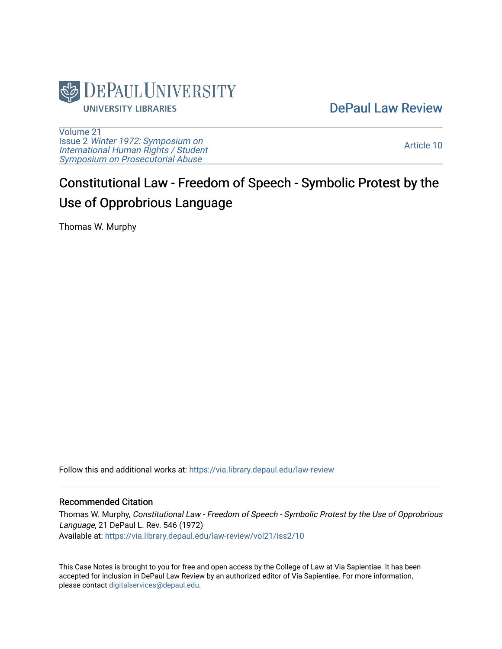

[DePaul Law Review](https://via.library.depaul.edu/law-review) 

[Volume 21](https://via.library.depaul.edu/law-review/vol21) Issue 2 [Winter 1972: Symposium on](https://via.library.depaul.edu/law-review/vol21/iss2) [International Human Rights / Student](https://via.library.depaul.edu/law-review/vol21/iss2) [Symposium on Prosecutorial Abuse](https://via.library.depaul.edu/law-review/vol21/iss2)

[Article 10](https://via.library.depaul.edu/law-review/vol21/iss2/10) 

## Constitutional Law - Freedom of Speech - Symbolic Protest by the Use of Opprobrious Language

Thomas W. Murphy

Follow this and additional works at: [https://via.library.depaul.edu/law-review](https://via.library.depaul.edu/law-review?utm_source=via.library.depaul.edu%2Flaw-review%2Fvol21%2Fiss2%2F10&utm_medium=PDF&utm_campaign=PDFCoverPages) 

## Recommended Citation

Thomas W. Murphy, Constitutional Law - Freedom of Speech - Symbolic Protest by the Use of Opprobrious Language, 21 DePaul L. Rev. 546 (1972) Available at: [https://via.library.depaul.edu/law-review/vol21/iss2/10](https://via.library.depaul.edu/law-review/vol21/iss2/10?utm_source=via.library.depaul.edu%2Flaw-review%2Fvol21%2Fiss2%2F10&utm_medium=PDF&utm_campaign=PDFCoverPages)

This Case Notes is brought to you for free and open access by the College of Law at Via Sapientiae. It has been accepted for inclusion in DePaul Law Review by an authorized editor of Via Sapientiae. For more information, please contact [digitalservices@depaul.edu.](mailto:digitalservices@depaul.edu)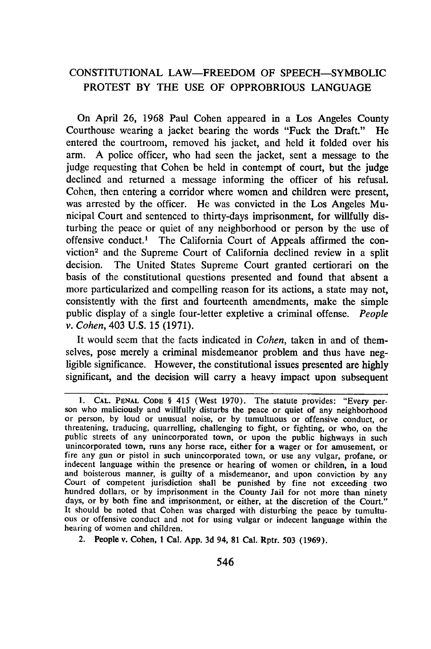## **CONSTITUTIONAL** LAW-FREEDOM OF SPEECH-SYMBOLIC PROTEST BY THE **USE** OF OPPROBRIOUS LANGUAGE

On April 26, 1968 Paul Cohen appeared in a Los Angeles County Courthouse wearing a jacket bearing the words "Fuck the Draft." He entered the courtroom, removed his jacket, and held it folded over his arm. A police officer, who had seen the jacket, sent a message to the judge requesting that Cohen be held in contempt of court, but the judge declined and returned a message informing the officer of his refusal. Cohen, then entering a corridor where women and children were present, was arrested by the officer. He was convicted in the Los Angeles Municipal Court and sentenced to thirty-days imprisonment, for willfully disturbing the peace or quiet of any neighborhood or person by the use of offensive conduct.' The California Court of Appeals affirmed the conviction<sup>2</sup> and the Supreme Court of California declined review in a split decision. The United States Supreme Court granted certiorari on the basis of the constitutional questions presented and found that absent a more particularized and compelling reason for its actions, a state may not, consistently with the first and fourteenth amendments, make the simple public display of a single four-letter expletive a criminal offense. *People v. Cohen,* 403 U.S. 15 (1971).

It would seem that the facts indicated in *Cohen,* taken in and of themselves, pose merely a criminal misdemeanor problem and thus have negligible significance. However, the constitutional issues presented are highly significant, and the decision will carry a heavy impact upon subsequent

<sup>1.</sup> CAL. PENAL CODE § 415 (West 1970). The statute provides: "Every person who maliciously and willfully disturbs the peace or quiet of any neighborhood or person, by loud or unusual noise, or by tumultuous or offensive con threatening, traducing, quarrelling, challenging to fight, or fighting, or who, on the public streets of any unincorporated town, or upon the public highways in such unincorporated town, runs any horse race, either for a wager or for amusement, or<br>fire any gun or pistol in such unincorporated town, or use any vulgar, profane, or<br>indecent language within the presence or hearing of women and boisterous manner, is guilty of a misdemeanor, and upon conviction **by** any Court of competent jurisdiction shall be punished **by** fine not exceeding two hundred dollars, or **by** imprisonment in the County Jail for not more than **ninety** days, or **by** both fine and imprisonment, or either, at the discretion of the Court." It should be noted that Cohen was charged with disturbing the peace **by** tumultu- ous or offensive conduct and not for using vulgar or indecent language within the hearing of women and children.

<sup>2.</sup> People v. Cohen, **1** Cal. **App. 3d** 94, **81** Cal. Rptr. **503 (1969).**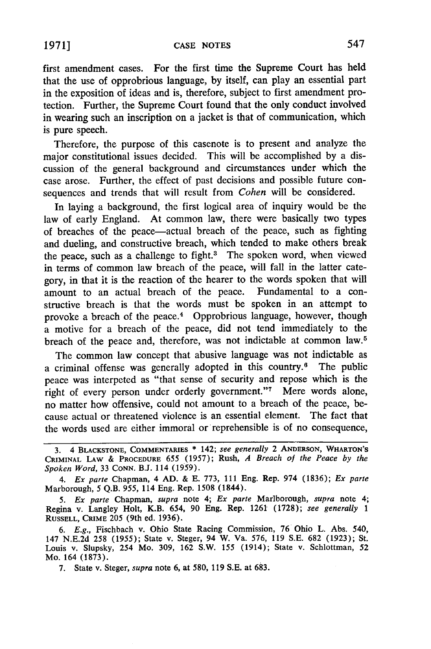first amendment cases. For the first time the Supreme Court has held that the use of opprobrious language, by itself, can play an essential part in the exposition of ideas and is, therefore, subject to first amendment protection. Further, the Supreme Court found that the only conduct involved in wearing such an inscription on a jacket is that of communication, which is pure speech.

Therefore, the purpose of this casenote is to present and analyze the major constitutional issues decided. This will be accomplished by a discussion of the general background and circumstances under which the case arose. Further, the effect of past decisions and possible future consequences and trends that will result from *Cohen* will be considered.

In laying a background, the first logical area of inquiry would be the law of early England. At common law, there were basically two types of breaches of the peace-actual breach of the peace, such as fighting and dueling, and constructive breach, which tended to make others break the peace, such as a challenge to fight.<sup>3</sup> The spoken word, when viewed in terms of common law breach of the peace, will fall in the latter category, in that it is the reaction of the hearer to the words spoken that will amount to an actual breach of the peace. Fundamental to a constructive breach is that the words must be spoken in an attempt to provoke a breach of the peace.<sup>4</sup> Opprobrious language, however, though a motive for a breach of the peace, did not tend immediately to the breach of the peace and, therefore, was not indictable at common law.<sup>5</sup>

The common law concept that abusive language was not indictable as a criminal offense was generally adopted in this country.6 The public peace was interpeted as "that sense of security and repose which is the right of every person under orderly government."<sup>7</sup> Mere words alone, no matter how offensive, could not amount to a breach of the peace, because actual or threatened violence is an essential element. The fact that the words used are either immoral or reprehensible is of no consequence,

**<sup>3.</sup>** 4 **BLACKSTONE, COMMENTARIES \*** 142; *see generally* 2 **ANDERSON,** WHARTON'S CRIMINAL **LAW & PROCEDURE** 655 (1957); Rush, *A Breach of the Peace by the Spoken Word,* 33 **CONN. B.J.** 114 (1959).

*<sup>4.</sup> Ex parte* Chapman, 4 AD. & E. 773, 111 Eng. Rep. 974 (1836); *Ex parte* Marborough, 5 Q.B. 955, 114 Eng. Rep. 1508 (1844).

*<sup>5.</sup> Ex parte* Chapman, *supra* note 4; *Ex parte* Marlborough, *supra* note 4; Regina v. Langley Holt, K.B. 654, **90** Eng. Rep. 1261 (1728); *see generally 1* **RUSSELL,** CRIME 205 (9th ed. 1936).

*<sup>6.</sup> E.g.,* Fischbach v. Ohio State Racing Commission, 76 Ohio L. Abs. 540, 147 N.E.2d 258 (1955); State v. Steger, 94 W. Va. 576, 119 S.E. 682 (1923); St. Louis v. Slupsky, 254 Mo. 309, 162 S.W. 155 (1914); State v. Schlottman, 52 Mo. 164 (1873).

<sup>7.</sup> State v. Steger, *supra* note 6, at 580, 119 S.E. at 683.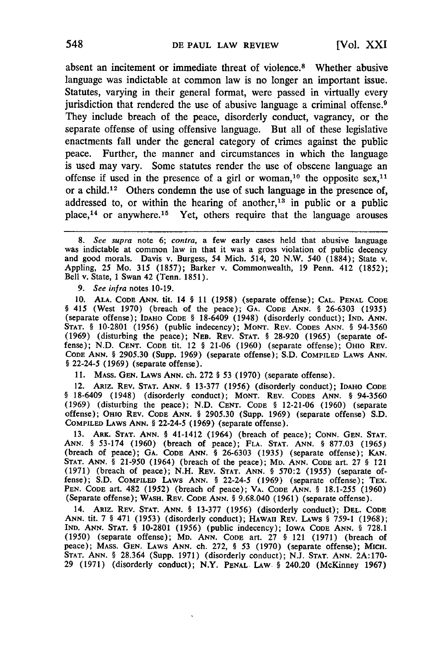absent an incitement or immediate threat of violence.8 Whether abusive language was indictable at common law is no longer an important issue. Statutes, varying in their general format, were passed in virtually every jurisdiction that rendered the use of abusive language a criminal offense.<sup>9</sup> They include breach of the peace, disorderly conduct, vagrancy, or the separate offense of using offensive language. But all of these legislative enactments fall under the general category of crimes against the public peace. Further, the manner and circumstances in which the language is used may vary. Some statutes render the use of obscene language an offense if used in the presence of a girl or woman,<sup>10</sup> the opposite sex,<sup>11</sup> or a child.<sup>12</sup> Others condemn the use of such language in the presence of, addressed to, or within the hearing of another,<sup>13</sup> in public or a public place,  $14$  or anywhere.  $15$  Yet, others require that the language arouses

*9. See infra* notes 10-19.

**10. ALA.** CODE **ANN.** tit. 14 § 11 **(1958)** (separate offense); **CAL. PENAL CODE** § 415 (West **1970)** (breach of the peace); **GA.** CODE ANN. § 26-6303 **(1935)** (separate offense); **IDAHO** CODE § 18-6409 (1948) (disorderly conduct); IND. ANN. **STAT.** § 10-2801 (1956) (public indecency); MONT. REV. CODES ANN. § 94-3560 (1969) (disturbing the peace); NEB. REV. STAT. § 28-920 (1965) (separate offense); N.D. **CENT.** CODE tit. 12 § 21-06 (1960) (separate offense); OHIO REV. CODE ANN. § 2905.30 (Supp. 1969) (separate offense); S.D. COMPILED LAWS ANN. § 22-24-5 (1969) (separate offense).

11. MAss. GEN. LAWS ANN. ch. **272** § 53 (1970) (separate offense).

12. ARiz. REV. STAT. **ANN.** § 13-377 (1956) (disorderly conduct); IDAHO CODE § 18-6409 (1948) (disorderly conduct); **MONT.** REV. CODES ANN. § 94-3560 (1969) (disturbing the peace); N.D. **CENT.** CODE § 12-21-06 (1960) (separate offense); OHIO REV. CODE ANN. § 2905.30 (Supp. 1969) (separate offense) S.D. COMPILED LAWS ANN. § 22-24-5 (1969) (separate offense).

13. ARK. **STAT.** ANN. § 41-1412 (1964) (breach of peace); CONN. GEN. **STAT.** ANN. § 53-174 (1960) (breach of peace); FLA. **STAT.** ANN. § 877.03 (1965) (breach of peace); GA. CODE ANN. § 26-6303 (1935) (separate offense); KAN. **STAT.** ANN. § 21-950 (1964) (breach of the peace); MD. ANN. CODE art. 27 § 121 (1971) (breach of peace); N.H. REV. **STAT.** ANN. § 570:2 (1955) (separate offense); S.D. COMPILED LAWS ANN. § 22-24-5 (1969) (separate offense); TEX. PEN. CODE art. 482 (1952) (breach of peace); VA. CODE ANN. § 18.1-255 (1960) (Separate offense); WASH. REV. CODE ANN. § 9.68.040 (1961) (separate offense).

14. ARiz. REV. **STAT.** ANN. § 13-377 (1956) (disorderly conduct); DEL. CODE ANN. tit. 7 § 471 (1953) (disorderly conduct); HAWAII REV. LAWS § 759-1 (1968); IND. ANN. **STAT.** § 10-2801 (1956) (public indecency); IOWA CODE ANN. § 728.1 (1950) (separate offense); MD. ANN. CODE art. 27 § 121 (1971) (breach of peace); MAss. GEN. LAWS ANN. ch. 272, § 53 (1970) (separate offense); MICH. STAT. ANN. § 28.364 (Supp. 1971) (disorderly conduct); N.J. **STAT. ANN.** 2A:170- 29 (1971) (disorderly conduct); N.Y. **PENAL** LAW § 240.20 (McKinney 1967)

*<sup>8.</sup> See supra* note 6; *contra,* a few early cases held that abusive language was indictable at common law in that it was a gross violation of public decency and good morals. Davis v. Burgess, 54 Mich. 514, 20 N.W. 540 (1884); State v. Appling, 25 Mo. 315 (1857); Barker v. Commonwealth, 19 Penn. 412 (1852); Bell v. State, 1 Swan 42 (Tenn. 1851).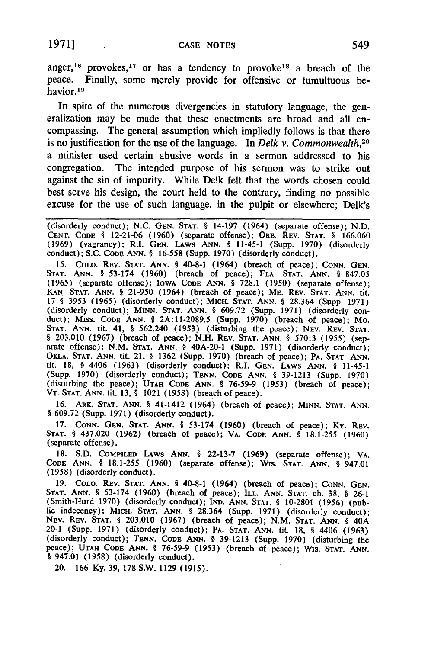**1971] CASE NOTES 549**

anger,<sup>16</sup> provokes,<sup>17</sup> or has a tendency to provoke<sup>18</sup> a breach of the peace. Finally, some merely provide for offensive or tumultuous behavior.<sup>19</sup>

In spite of the numerous divergencies in statutory language, the generalization may be made that these enactments are broad and all encompassing. The general assumption which impliedly follows is that there is no justification for the use of the language. In *Delk v. Commonwealth,20* a minister used certain abusive words in a sermon addressed to his congregation. The intended purpose of his sermon was to strike out against the sin of impurity. While Delk felt that the words chosen could best serve his design, the court held to the contrary, finding no possible excuse for the use of such language, in the pulpit or elsewhere; Delk's

(disorderly conduct); N.C. **GEN. STAT.** § 14-197 (1964) (separate offense); **N.D. CENT.** CODE § 12-21-06 (1960) (separate offense); ORE. REV. STAT. § 166.060 (1969) (vagrancy); R.I. **GEN.** LAws ANN. § 11-45-1 (Supp. 1970) (disorderly conduct); S.C. CODE ANN. § 16-558 (Supp. 1970) (disorderly conduct).

**15.** COLO. REV. STAT. ANN. § 40-8-1 (1964) (breach of peace); CONN. GEN. STAT. ANN. § 53-174 (1960) (breach of peace); FLA. STAT. ANN. § 847.05 (1965) (separate offense); IowA CODE ANN. § 728.1 (1950) (separate offense); KAN. STAT. ANN. § 21-950 (1964) (breach of peace); ME. REv. STAT. ANN. tit. 17 § 3953 (1965) (disorderly conduct); MICH. STAT. ANN. § 28.364 (Supp. 1971) (disorderly conduct); MINN. STAT. ANN. § 609.72 (Supp. 1971) (disorderly conduct); MISS. CODE ANN. § 2A:11-2089.5 (Supp. 1970) (breach of peace); Mo. STAT. ANN. tit. 41, § 562.240 (1953) (disturbing the peace); NEV. REV. STAT. § 203.010 (1967) (breach of peace); N.H. REv. **STAT. ANN.** § 570:3 (1955) (separate offense); N.M. **STAT. ANN.** § 40A-20-1 (Supp. 1971) (disorderly conduct); **OKLA.** STAT. ANN. tit. 21, § 1362 (Supp. 1970) (breach of peace); PA. STAT. ANN. tit. 18, § 4406 (1963) (disorderly conduct); R.I. GEN. LAws ANN. § 11-45-1 (Supp. 1970) (disorderly conduct); TENN. CODE ANN. § 39-1213 (Supp. 1970) (disturbing the peace); UTAH CODE ANN. § 76-59-9 (1953) (breach of peace); VT. STAT. ANN. tit. 13, § 1021 (1958) (breach of peace).

16. ARK. **STAT. ANN.** § 41-1412 (1964) (breach of peace); MINN. **STAT. ANN.** § 609.72 (Supp. 1971) (disorderly conduct).

17. **CONN. GEN. STAT. ANN.** § 53-174 **(1960)** (breach of peace); Ky. REv. **STAT.** § 437.020 (1962) (breach of peace); VA. CODE ANN. § 18.1-255 (1960) (separate offense).

18. S.D. COMPILED LAws ANN. § 22-13-7 (1969) (separate offense); VA. CODE ANN. § 18.1-255 **(1960)** (separate offense); Wis. **STAT.** ANN. § 947.01 **(1958)** (disorderly conduct).

**19.** COLO. REV. **STAT.** ANN. § 40-8-1 (1964) (breach of peace); **CONN. GEN. STAT.** ANN. § **53-174 (1960)** (breach of peace); **ILL. ANN. STAT.** ch. **38,** § **26-1** (Smith-Hurd **1970)** (disorderly conduct); **IND. ANN. STAT.** § **10-2801 (1956)** (public indecency); MICH. **STAT. ANN.** § **28.364** (Supp. **1971)** (disorderly conduct); **NEv.** REV. **STAT.** § **203.010 (1967)** (breach of peace); **N.M. STAT. ANN.** § 40A 20-1 (Supp. **1971)** (disorderly conduct); PA. **STAT. ANN.** tit. **18,** § 4406 **(1963)** (disorderly conduct); **TENN.** CODE **ANN.** § **39-1213** (Supp. **1970)** (disturbing the peace); **UTAH CODE ANN.** § **76-59-9 (1953)** (breach of peace); Wis. **STAT. ANN.** § 947.01 **(1958)** (disorderly conduct).

20. **166 Ky. 39, 178** S.W. **1129 (1915).**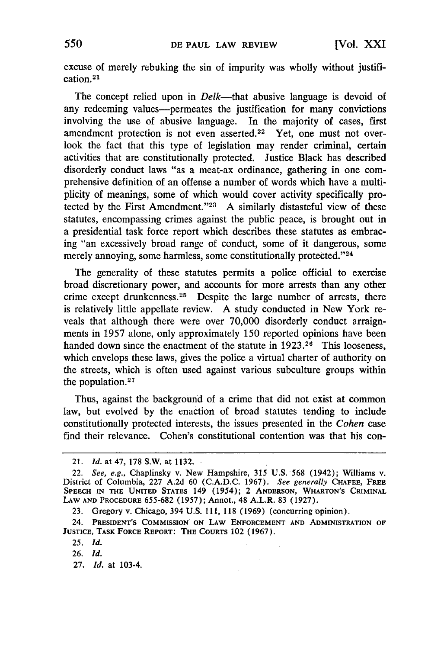excuse of merely rebuking the sin of impurity was wholly without justification. <sup>21</sup>

The concept relied upon in *Delk*—that abusive language is devoid of any redeeming values-permeates the justification for many convictions involving the use of abusive language. In the majority of cases, first amendment protection is not even asserted.<sup>22</sup> Yet, one must not overlook the fact that this type of legislation may render criminal, certain activities that are constitutionally protected. Justice Black has described disorderly conduct laws "as a meat-ax ordinance, gathering in one comprehensive definition of an offense a number of words which have a multiplicity of meanings, some of which would cover activity specifically protected by the First Amendment."<sup>23</sup> A similarly distasteful view of these statutes, encompassing crimes against the public peace, is brought out in a presidential task force report which describes these statutes as embracing "an excessively broad range of conduct, some of it dangerous, some merely annoying, some harmless, some constitutionally protected."<sup>24</sup>

The generality of these statutes permits a police official to exercise broad discretionary power, and accounts for more arrests than any other crime except drunkenness.<sup>25</sup> Despite the large number of arrests, there is relatively little appellate review. A study conducted in New York reveals that although there were over 70,000 disorderly conduct arraignments in 1957 alone, only approximately 150 reported opinions have been handed down since the enactment of the statute in 1923.<sup>26</sup> This looseness, which envelops these laws, gives the police a virtual charter of authority on the streets, which is often used against various subculture groups within the population. $27$ 

Thus, against the background of a crime that did not exist at common law, but evolved by the enaction of broad statutes tending to include constitutionally protected interests, the issues presented in the *Cohen* case find their relevance. Cohen's constitutional contention was that his con-

 $\mathcal{L}$ 

<sup>21.</sup> *Id.* at 47, 178 S.W. at 1132.

<sup>22.</sup> *See, e.g.,* Chaplinsky v. New Hampshire, 315 U.S. 568 (1942); Williams v. District of Columbia, 227 A.2d 60 (C.A.D.C. 1967). *See generally* **CHAFEE,** FREE **SPEECH IN THE UNITED STATES** 149 (1954); 2 **ANDERSON, WHARTON'S** CRIMINAL **LAW AND** PROCEDURE 655-682 (1957); Annot., 48 A.L.R. **83 (1927).**

<sup>23.</sup> Gregory v. Chicago, 394 U.S. **111, 118 (1969)** (concurring opinion).

<sup>24.</sup> **PRESIDENT'S** COMMISSION **ON LAW ENFORCEMENT AND ADMINISTRATION OF JUSTICE, TASK FORCE REPORT: THE COURTS** 102 **(1967).**

**<sup>25.</sup>** *Id.*

<sup>26.</sup> *Id.*

<sup>27.</sup> *Id.* at 103-4.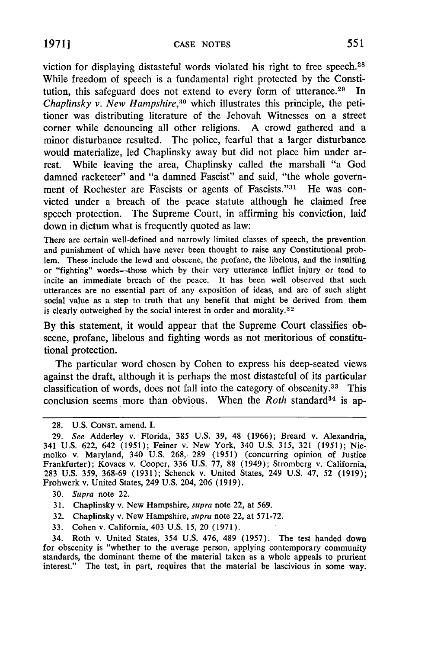viction for displaying distasteful words violated his right to free speech. <sup>28</sup> While freedom of speech is a fundamental right protected by the Constitution, this safeguard does not extend to every form of utterance.<sup>29</sup> In *Chaplinsky v. New Hampshire,30* which illustrates this principle, the petitioner was distributing literature of the Jehovah Witnesses on a street corner while denouncing all other religions. A crowd gathered and a minor disturbance resulted. The police, fearful that a larger disturbance would materialize, led Chaplinsky away but did not place him under arrest. While leaving the area, Chaplinsky called the marshall "a God damned racketeer" and "a damned Fascist" and said, "the whole government of Rochester are Fascists or agents of Fascists."<sup>31</sup> He was convicted under a breach of the peace statute although he claimed free speech protection. The Supreme Court, in affirming his conviction, laid down in dictum what is frequently quoted as law:

There are certain well-defined and narrowly limited classes of speech, the prevention and punishment of which have never been thought to raise any Constitutional problem. These include the lewd and obscene, the profane, the libelous, and the insulting or "fighting" words-those which **by** their very utterance inflict injury or tend to incite an immediate breach of the peace. It has been well observed that such utterances are no essential part of any exposition of ideas, and are of such slight social value as a step to truth that any benefit that might be derived from them is clearly outweighed by the social interest in order and morality.<sup>32</sup>

By this statement, it would appear that the Supreme Court classifies obscene, profane, libelous and fighting words as not meritorious of constitutional protection.

The particular word chosen by Cohen to express his deep-seated views against the draft, although it is perhaps the most distasteful of its particular classification of words, does not fall into the category of obscenity.<sup>33</sup> This conclusion seems more than obvious. When the *Roth* standard<sup>34</sup> is ap-

- 30. *Supra* note 22.
- 31. Chaplinsky v. New Hampshire, *supra* note 22, at 569.
- 32. Chaplinsky v. New Hampshire, *supra* note 22, at 571-72.
- 33. Cohen v. California, 403 U.S. 15, 20 (1971).

34. Roth v. United States, 354 U.S. 476, 489 (1957). The test handed down for obscenity is "whether to the average person, applying contemporary community standards, the dominant theme of the material taken as a whole appeals to prurient interest." The test, in part, requires that the material be lascivious in some way.

<sup>28.</sup> U.S. CONST. amend. I.

<sup>29.</sup> *See* Adderley v. Florida, 385 U.S. 39, 48 (1966); Breard v. Alexandria, 341 U.S. 622, 642 (1951); Feiner v. New York, 340 U.S. 315, 321 (1951); Niemolko v. Maryland, 340 U.S. 268, 289 (1951) (concurring opinion of Justice Frankfurter); Kovacs v. Cooper, 336 U.S. 77, 88 (1949); Stromberg v. California, 283 U.S. 359, 368-69 (1931); Schenck v. United States, 249 U.S. 47, 52 (1919); Frohwerk v. United States, 249 U.S. 204, 206 (1919).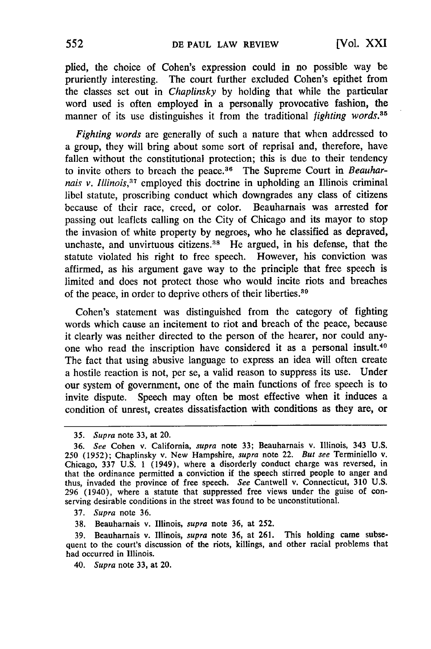plied, the choice of Cohen's expression could in no possible way be pruriently interesting. The court further excluded Cohen's epithet from the classes set out in *Chaplinsky* by holding that while the particular word used is often employed in a personally provocative fashion, the manner of its use distinguishes it from the traditional *fighting words*.<sup>35</sup>

*Fighting words* are generally of such a nature that when addressed to a group, they will bring about some sort of reprisal and, therefore, have fallen without the constitutional protection; this is due to their tendency to invite others to breach the peace. 36 The Supreme Court in *Beauharnais v. Illinois*,<sup>37</sup> employed this doctrine in upholding an Illinois criminal libel statute, proscribing conduct which downgrades any class of citizens because of their race, creed, or color. Beauharnais was arrested for passing out leaflets calling on the City of Chicago and its mayor to stop the invasion of white property by negroes, who he classified as depraved, unchaste, and unvirtuous citizens.<sup>38</sup> He argued, in his defense, that the statute violated his right to free speech. However, his conviction was affirmed, as his argument gave way to the principle that free speech is limited and does not protect those who would incite riots and breaches of the peace, in order to deprive others of their liberties. $39$ 

Cohen's statement was distinguished from the category of fighting words which cause an incitement to riot and breach of the peace, because it clearly was neither directed to the person of the hearer, nor could anyone who read the inscription have considered it as a personal insult.<sup>40</sup> The fact that using abusive language to express an idea will often create a hostile reaction is not, per se, a valid reason to suppress its use. Under our system of government, one of the main functions of free speech is to invite dispute. Speech may often be most effective when it induces a condition of unrest, creates dissatisfaction with conditions as they are, or

37. *Supra* note 36.

**38.** Beauharnais v. Illinois, *supra* note 36, at 252.

39. Beauharnais v. Illinois, *supra* note 36, at 261. This holding came subsequent to the court's discussion of the riots, killings, and other racial problems that had occurred in Illinois.

40. *Supra* note 33, at 20.

*<sup>35.</sup> Supra* note 33, at 20.

<sup>36.</sup> *See* Cohen v. California, *supra* note 33; Beauharnais v. Illinois, 343 U.S. 250 (1952); Chaplinsky v. New Hampshire, *supra* note 22. *But see* Terminiello v. Chicago, 337 U.S. **1** (1949), where a disorderly conduct charge was reversed, in that the ordinance permitted a conviction if the speech stirred people to anger and thus, invaded the province of free speech. *See* Cantwell v. Connecticut, 310 U.S. 296 (1940), where a statute that suppressed free views under the guise of conserving desirable conditions in the street was found to be unconstitutional.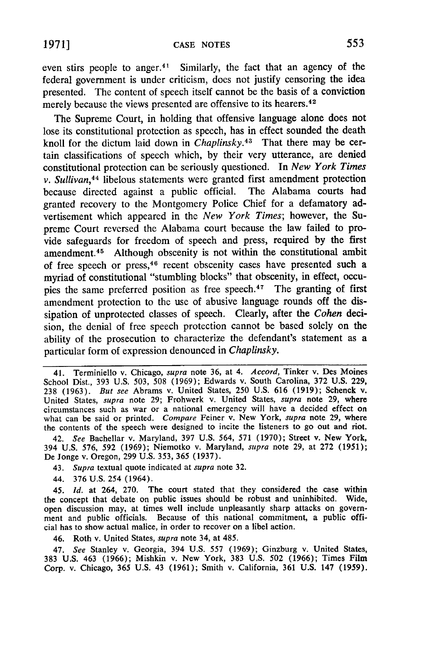even stirs people to anger.<sup>41</sup> Similarly, the fact that an agency of the federal government is under criticism, does not justify censoring the idea presented. The content of speech itself cannot be the basis of a conviction merely because the views presented are offensive to its hearers.<sup>42</sup>

The Supreme Court, in holding that offensive language alone does not lose its constitutional protection as speech, has in effect sounded the death knoll for the dictum laid down in *Chaplinsky.43* That there may be certain classifications of speech which, by their very utterance, are denied constitutional protection can be seriously questioned. In *New York Times v. Sullivan,<sup>44</sup>*libelous statements were granted first amendment protection because directed against a public official. The Alabama courts had granted recovery to the Montgomery Police Chief for a defamatory advertisement which appeared in the *New York Times;* however, the Supreme Court reversed the Alabama court because the law failed to provide safeguards for freedom of speech and press, required by the first amendment. 45 Although obscenity is not within the constitutional ambit of free speech or press, 46 recent obscenity cases have presented such a myriad of constitutional "stumbling blocks" that obscenity, in effect, occupies the same preferred position as free speech.<sup>47</sup> The granting of first amendment protection to the use of abusive language rounds off the dissipation of unprotected classes of speech. Clearly, after the *Cohen* decision, the denial of free speech protection cannot be based solely on the ability of the prosecution to characterize the defendant's statement as a particular form of expression denounced in *Chaplinsky.*

42. *See* Bachellar v. Maryland, 397 U.S. 564, 571 (1970); Street v. New York, 394 U.S. 576, 592 (1969); Niemotko v. Maryland, *supra* note 29, at 272 (1951); De Jonge v. Oregon, 299 U.S. 353, 365 (1937).

43. *Supra* textual quote indicated at *supra* note 32.

44. 376 U.S. 254 (1964).

45. *Id.* at 264, 270. The court stated that they considered the case within the concept that debate on public issues should be robust and uninhibited. Wide, open discussion may, at times well include unpleasantly sharp attacks on government and public officials. Because of this national commitment, a public official has to show actual malice, in order to recover on a libel action.

46. Roth v. United States, *supra* note 34, at 485.

47. *See* Stanley v. Georgia, 394 U.S. 557 (1969); Ginzburg v. United States, 383 U.S. 463 (1966); Mishkin v. New York, 383 U.S. 502 **(1966);** Times Film Corp. v. Chicago, 365 U.S. 43 (1961); Smith v. California, 361 U.S. 147 (1959).

<sup>41.</sup> Terminiello v. Chicago, *supra* note 36, at 4. *Accord,* Tinker v. Des Moines School Dist., 393 U.S. 503, **508** (1969); Edwards v. South Carolina, 372 U.S. 229, 238 (1963). *But see* Abrams v. United States, 250 U.S. 616 (1919); Schenck v. United States, *supra* note 29; Frohwerk v. United States, *supra* note 29, where circumstances such as war or a national emergency will have a decided effect on what can be said or printed. *Compare* Feiner v. New York, *supra* note 29, where the contents of the speech were designed to incite the listeners to go out and riot.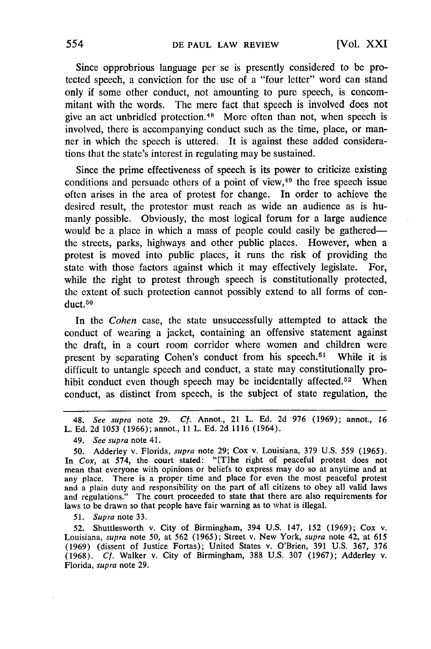Since opprobrious language per se is presently considered to be protected speech, a conviction for the use of a "four letter" word can stand only if some other conduct, not amounting to pure speech, is concommitant with the words. The mere fact that speech is involved does not give an act unbridled protection. 48 More often than not, when speech is involved, there is accompanying conduct such as the time, place, or manner in which the speech is uttered. It is against these added considerations that the state's interest in regulating may be sustained.

Since the prime effectiveness of speech is its power to criticize existing conditions and persuade others of a point of view, $49$  the free speech issue often arises in the area of protest for change. In order to achieve the desired result, the protestor must reach as wide an audience as is humanly possible. Obviously, the most logical forum for a large audience would be a place in which a mass of people could easily be gatheredthe streets, parks, highways and other public places. However, when a protest is moved into public places, it runs the risk of providing the state with those factors against which it may effectively legislate. For, while the right to protest through speech is constitutionally protected, the extent of such protection cannot possibly extend to all forms of conduct.<sup>50</sup>

In the *Cohen* case, the state unsuccessfully attempted to attack the conduct of wearing a jacket, containing an offensive statement against the draft, in a court room corridor where women and children were present by separating Cohen's conduct from his speech.<sup>51</sup> While it is difficult to untangle speech and conduct, a state may constitutionally prohibit conduct even though speech may be incidentally affected.<sup>52</sup> When conduct, as distinct from speech, is the subject of state regulation, the

*51. Supra* note 33.

52. Shuttlesworth v. City of Birmingham, 394 U.S. 147, 152 (1969); Cox v. Louisiana, *supra* note 50, at 562 (1965); Street v. New York, *supra* note 42, at 615 (1969) (dissent of Justice Fortas); United States v. O'Brien, 391 U.S. 367, 376 (1968). *Cf.* Walker v. City of Birmingham, 388 U.S. 307 (1967); Adderley v. Florida, *supra* note 29.

<sup>48.</sup> *See supra* note 29. *Cf.* Annot., 21 L. Ed. 2d 976 (1969); annot., 16 L. Ed. 2d 1053 (1966); annot., 11 L. Ed. 2d 1116 (1964).

<sup>49.</sup> *See supra* note 41.

<sup>50.</sup> Adderley v. Florida, *supra* note **29;** Cox v. Louisiana, **379** U.S. 559 (1965). In *Cox*, at 574, the court stated: "[T]he right of peaceful protest does not mean that everyone with opinions or beliefs to express may do so at anytime and at any place. There is a proper time and place for even the most peaceful protest and a plain duty and responsibility on the part of all citizens to obey all valid laws and regulations." The court proceeded to state that there are also requirements for laws to be drawn so that people have fair warning as to what is illegal.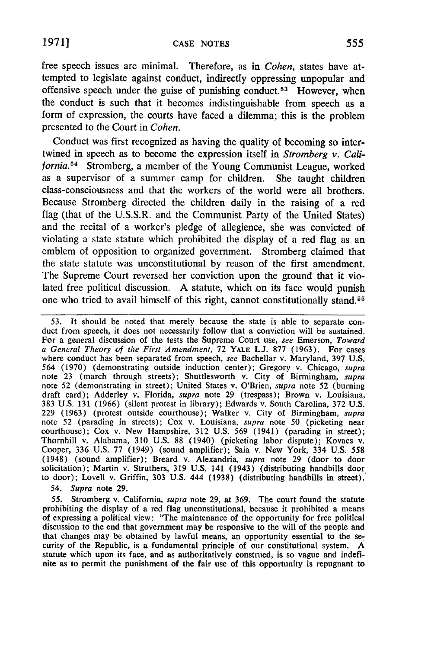free speech issues are minimal. Therefore, as in *Cohen,* states have attempted to legislate against conduct, indirectly oppressing unpopular and offensive speech under the guise of punishing conduct.<sup>53</sup> However, when the conduct is such that it becomes indistinguishable from speech as a form of expression, the courts have faced a dilemma; this is the problem presented to the Court in *Cohen.*

Conduct was first recognized as having the quality of becoming so intertwined in speech as to become the expression itself in *Stromberg v. California.54* Stromberg, a member of the Young Communist League, worked as a supervisor of a summer camp for children. She taught children class-consciousness and that the workers of the world were all brothers. Because Stromberg directed the children daily in the raising of a red flag (that of the U.S.S.R. and the Communist Party of the United States) and the recital of a worker's pledge of allegience, she was convicted of violating a state statute which prohibited the display of a red flag as an emblem of opposition to organized government. Stromberg claimed that the state statute was unconstitutional by reason of the first amendment. The Supreme Court reversed her conviction upon the ground that it violated free political discussion. A statute, which on its face would punish one who tried to avail himself of this right, cannot constitutionally stand. 55

53. It should be noted that merely because the state is able to separate con- duct from speech, it does not necessarily follow that a conviction will be sustained. For a general discussion of the tests the Supreme Court use, *see* Emerson, *Toward* where conduct has been separated from speech, *see* Bachellar v. Maryland, 397 U.S. 564 (1970) (demonstrating outside induction center); Gregory v. Chicago, *supra* note 23 (march through streets); Shuttlesworth v. City of Birmingham, *supra* note 52 (demonstrating in street); United States v. O'Brien, *supra* note 52 (burning draft card); Adderley v. Florida, *supra* note 29 (trespass); Brown v. Louisiana, 383 U.S. 131 (1966) (silent protest in library); Edwards v. South Carolina, 372 U.S. 229 (1963) (protest outside courthouse); Walker v. City of Birmingham, *supra* courthouse); Cox v. New Hampshire, 312 U.S. 569 (1941) (parading in street); Thornhill v. Alabama, 310 U.S. 88 (1940) (picketing labor dispute); Kovacs v. Cooper, 336 U.S. 77 (1949) (sound amplifier); Saia v. New York, 334 U.S. 558 (1948) (sound amplifier); Breard v. Alexandria, *supra* note 29 (door to door solicitation); Martin v. Struthers, 319 U.S. 141 (1943) (distributing handbills door to door); Lovell v. Griffin, 303 U.S. 444 (1938) (distributing handbills in street).

*54. Supra* note 29.

55. Stromberg v. California, *supra* note 29, at 369. The court found the statute prohibiting the display of a red flag unconstitutional, because it prohibited a means of expressing a political view: "The maintenance of the opportunity for free political discussion to the end that government may be responsive to the will of the people and that changes may be obtained by lawful means, an opportunity essential to the se-<br>curity of the Republic, is a fundamental principle of our constitutional system. A statute which upon its face, and as authoritatively construed, is so vague and indefinite as to permit the punishment of the fair use of this opportunity is repugnant to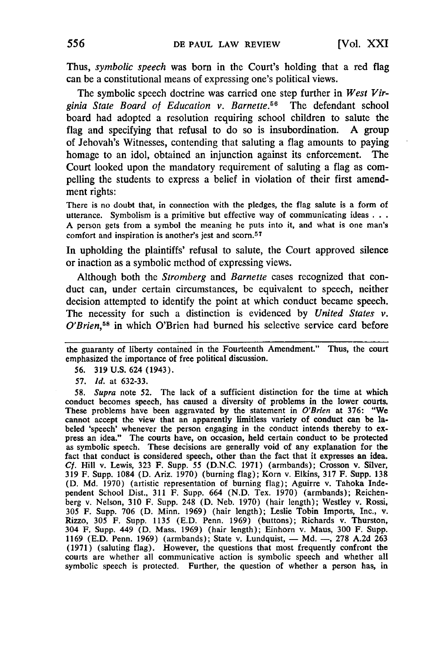Thus, *symbolic speech* was born in the Court's holding that a red flag can be a constitutional means of expressing one's political views.

The symbolic speech doctrine was carried one step further in *West Vir*ginia State Board of Education v. Barnette.<sup>56</sup> The defendant school board had adopted a resolution requiring school children to salute the flag and specifying that refusal to do so is insubordination. **A** group of Jehovah's Witnesses, contending that saluting a flag amounts to paying homage to an idol, obtained an injunction against its enforcement. The Court looked upon the mandatory requirement of saluting a flag as compelling the students to express a belief in violation of their first amendment rights:

There is no doubt that, in connection with the pledges, the flag salute is a form of utterance. Symbolism is a primitive but effective way of communicating ideas **.. .** A person gets from a symbol the meaning he puts into it, and what is one man's comfort and inspiration is another's jest and scorn.<sup>57</sup>

In upholding the plaintiffs' refusal to salute, the Court approved silence or inaction as a symbolic method of expressing views.

Although both the *Stromberg* and *Barnette* cases recognized that conduct can, under certain circumstances, be equivalent to speech, neither decision attempted to identify the point at which conduct became speech. The necessity for such a distinction is evidenced by *United States v.* O'Brien,<sup>58</sup> in which O'Brien had burned his selective service card before

56. **319** U.S. 624 (1943).

57. *Id.* at 632-33.

*58. Supra* note 52. The lack of a sufficient distinction for the time at which conduct becomes speech, has caused a diversity of problems in the lower courts. These problems have been aggravated by the statement in *O'Brien* at 376: "We cannot accept the view that an apparently limitless variety of conduct can be labeled 'speech' whenever the person engaging in the conduct intends thereby to express an idea." The courts have, on occasion, held certain conduct to be protected as symbolic speech. These decisions are generally void of any explanation for the fact that conduct is considered speech, other than the fact that it expresses an idea. **Cf.** Hill v. Lewis, **323** F. Supp. **55 (D.N.C. 1971)** (armbands); Crosson v. Silver, **319** F. Supp. 1084 **(D.** Ariz. **1970)** (burning flag); Korn v. Elkins, **317** F. Supp. **138 (D. Md. 1970)** (artistic representation of burning flag); Aguirre v. Tahoka Independent School Dist., **311** F. Supp. 664 **(N.D.** Tex. **1970)** (armbands); Reichenberg v. Nelson, **310** F. Supp. 248 **(D.** Neb. **1970)** (hair length); Westley v. Rossi, **305** F. Supp. **706 (D.** Minn. **1969)** (hair length); Leslie Tobin Imports, Inc., v. Rizzo, **305** F. Supp. **1135 (E.D.** Penn. **1969)** (buttons); Richards v. Thurston, 304 F. Supp. 449 **(D.** Mass. **1969)** (hair length); Einhorn v. Maus, **300** F. Supp. **1169 (E.D.** Penn. **1969)** (armbands); State v. Lundquist, - **Md. -, 278 A.2d 263 (1971)** (saluting flag). However, the questions that most frequently confront the courts are whether all communicative action is symbolic speech and whether all symbolic speech is protected. Further, the question of whether a person has, in

the guaranty of liberty contained in the Fourteenth Amendment." Thus, the court emphasized the importance of free political discussion.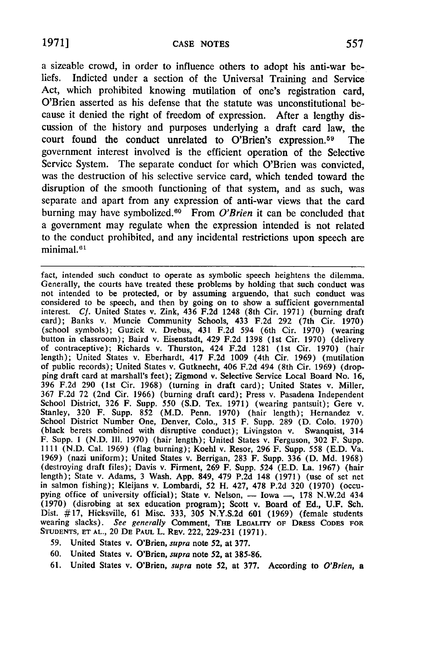a sizeable crowd, in order to influence others to adopt his anti-war beliefs. Indicted under a section of the Universal Training and Service Act, which prohibited knowing mutilation of one's registration card, O'Brien asserted as his defense that the statute was unconstitutional because it denied the right of freedom of expression. After a lengthy discussion of the history and purposes underlying a draft card law, the court found the conduct unrelated to O'Brien's expression.<sup>59</sup> The government interest involved is the efficient operation of the Selective Service System. The separate conduct for which O'Brien was convicted, was the destruction of his selective service card, which tended toward the disruption of the smooth functioning of that system, and as such, was separate and apart from any expression of anti-war views that the card burning may have symbolized.<sup>60</sup> From O'Brien it can be concluded that a government may regulate when the expression intended is not related to the conduct prohibited, and any incidental restrictions upon speech are minimal.<sup>61</sup>

fact, intended such conduct to operate as symbolic speech heightens the dilemma.<br>Generally, the courts have treated these problems by holding that such conduct was Generally, the courts have treated these problems by holding that such conduct was<br>not intended to be protected, or by assuming arguendo, that such conduct was<br>considered to be speech, and then by going on to show a suffic interest. *Cf.* United States v. Zink, 436 F.2d 1248 (8th Cir. 1971) (burning draft card); Banks v. Muncie Community Schools, 433 **F.2d 292** (7th Cir. 1970) (school symbols); Guzick v. Drebus, 431 F.2d 594 (6th Cir. 1970) (wearing<br>button in classroom); Baird v. Eisenstadt, 429 F.2d 1398 (1st Cir. 1970) (delivery of contraceptive); Richards v. Thurston, 424 F.2d 1281 (1st Cir. 1970) (hair length); United States v. Eberhardt, 417 F.2d 1009 (4th Cir. 1969) (mutilation of public records); United States v. Gutknecht, 406 F.2d 494 (8th Cir. 1969) (dropping draft card at marshall's feet); Zigmond v. Selective Service Local Board No. 16, **396 F.2d** 290 (1st Cir. 1968) (turning in draft card); United States v. Miller, 367 F.2d 72 (2nd Cir. 1966) (burning draft card); Press v. Pasadena Independent Stanley, 320 F. Supp. 852 (M.D. Penn. 1970) (hair length); Hernandez v.<br>School District Number One, Denver, Colo., 315 F. Supp. 289 (D. Colo. 1970) (black berets combined with disruptive conduct); Livingston v. Swanquist, 314 F. Supp. 1 (N.D. **I11.** 1970) (hair length); United States v. Ferguson, **302** F. Supp. 1111 (N.D. Cal. 1969) (flag burning); Koehl v. Resor, 296 F. Supp. 558 **(E.D.** Va. 1969) (nazi uniform); United States v. Berrigan, **283** F. Supp. **336 (D. Md.** 1968) (destroying draft files); Davis v. Firment, **269** F. Supp. 524 **(E.D.** La. 1967) (hair length); State v. Adams, **3** Wash. App. 849, 479 **P.2d** 148 (1971) (use of set net in salmon fishing); Kleijans v. Lombardi, **52** H. 427, **478 P.2d 320** (1970) (occupying office of university official); State v. Nelson, - Iowa -, 178 N.W.2d 434 (1970) (disrobing at sex education program); Scott v. Board of Ed., **U.F.** Sch. Dist. #17, Hicksville, 61 Misc. **333, 305** N.Y.S.2d **601** (1969) (female students wearing slacks). *See generally* Comment, **THE LEGALrrY OF DRESS CODES FOR STUDENTS, ET AL.,** 20 **DE PAUL** L. **REV.** 222, **229-231** (1971).

- 59. United States v. O'Brien, *supra* note **52,** at **377.**
- 60. United States v. O'Brien, *supra* note **52,** at 385-86.
- 61. United States v. O'Brien, *supra* note **52,** at **377.** According to *O'Brien, a*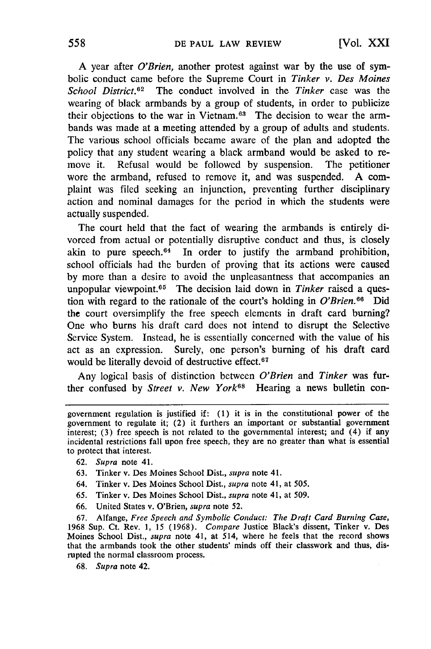A year after *O'Brien,* another protest against war **by** the use of symbolic conduct came before the Supreme Court in *Tinker v. Des Moines School District.62* The conduct involved in the *Tinker* case was the wearing of black armbands **by** a group of students, in order to publicize their objections to the war in Vietnam.<sup>63</sup> The decision to wear the armbands was made at a meeting attended **by** a group of adults and students. The various school officials became aware of the plan and adopted the policy that any student wearing a black armband would be asked to remove it. Refusal would be followed **by** suspension. The petitioner wore the armband, refused to remove it, and was suspended. A complaint was filed seeking an injunction, preventing further disciplinary action and nominal damages for the period in which the students were actually suspended.

The court held that the fact of wearing the armbands is entirely divorced from actual or potentially disruptive conduct and thus, is closely akin to pure speech. $64$  In order to justify the armband prohibition, school officials had the burden of proving that its actions were caused **by** more than a desire to avoid the unpleasantness that accompanies an unpopular viewpoint.<sup>65</sup> The decision laid down in *Tinker* raised a question with regard to the rationale of the court's holding in *O'Brien*.<sup>66</sup> Did the court oversimplify the free speech elements in draft card burning? One who burns his draft card does not intend to disrupt the Selective Service System. Instead, he is essentially concerned with the value of his act as an expression. Surely, one person's burning of his draft card would be literally devoid of destructive effect.<sup>67</sup>

Any logical basis of distinction between *O'Brien* and *Tinker* was further confused by *Street v. New York*<sup>68</sup> Hearing a news bulletin con-

- **63.** Tinker v. Des Moines School Dist., *supra* note 41.
- 64. Tinker v. Des Moines School Dist., *supra* note 41, at 505.
- **65.** Tinker v. Des Moines School Dist., *supra* note 41, at 509.
- **66.** United States v. O'Brien, *supra* note **52.**

**67.** Alfange, *Free Speech and Symbolic Conduct: The Draft Card Burning Case,* 1968 Sup. Ct. Rev. 1, 15 (1968). *Compare* Justice Black's dissent, Tinker v. Des Moines School Dist., *supra* note 41, at 514, where he feels that the record shows that the armbands took the other students' minds off their classwork and thus, disrupted the normal classroom process.

68. *Supra* note 42.

government regulation is justified if: (1) it is in the constitutional power of the government to regulate it; (2) it furthers an important or substantial government interest; **(3)** free speech is not related to the governmental interest; and (4) if any incidental restrictions fall upon free speech, they are no greater than what is essential to protect that interest.

**<sup>62.</sup>** *Supra* note 41.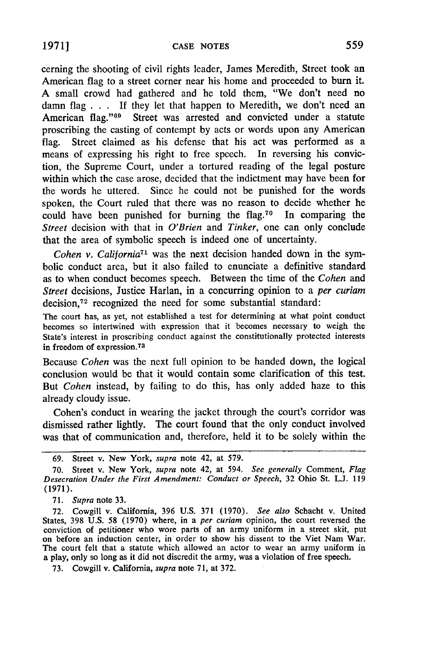cerning the shooting of civil rights leader, James Meredith, Street took an American flag to a street corner near his home and proceeded to burn it. A small crowd had gathered and he told them, "We don't need no damn flag . . **.** If they let that happen to Meredith, we don't need an American flag."<sup>69</sup> Street was arrested and convicted under a statute proscribing the casting of contempt by acts or words upon any American flag. Street claimed as his defense that his act was performed as a means of expressing his right to free speech. In reversing his conviction, the Supreme Court, under a tortured reading of the legal posture within which the case arose, decided that the indictment may have been for the words he uttered. Since he could not be punished for the words spoken, the Court ruled that there was no reason to decide whether he could have been punished for burning the flag.<sup>70</sup> In comparing the *Street* decision with that in *O'Brien* and *Tinker,* one can only conclude that the area of symbolic speech is indeed one of uncertainty.

*Cohen v. California71* was the next decision handed down in the symbolic conduct area, but it also failed to enunciate a definitive standard as to when conduct becomes speech. Between the time of the *Cohen* and *Street* decisions, Justice Harlan, in a concurring opinion to a *per curiam* decision.<sup>72</sup> recognized the need for some substantial standard:

The court has, as yet, not established a test for determining at what point conduct becomes so intertwined with expression that it becomes necessary to weigh the State's interest in proscribing conduct against the constitutionally protected interests in freedom of expression.<sup>73</sup>

Because *Cohen* was the next full opinion to be handed down, the logical conclusion would be that it would contain some clarification of this test. But *Cohen* instead, by failing to do this, has only added haze to this already cloudy issue.

Cohen's conduct in wearing the jacket through the court's corridor was dismissed rather lightly. The court found that the only conduct involved was that of communication and, therefore, held it to be solely within the

71. *Supra* note 33.

72. Cowgill v. California, 396 U.S. 371 (1970). *See also* Schacht v. United States, 398 U.S. 58 (1970) where, in a *per curiam* opinion, the court reversed the conviction of petitioner who wore parts of an army uniform in a street skit, put on before an induction center, in order to show his dissent to the Viet Nam War. The court felt that a statute which allowed an actor to wear an army uniform in a play, only so long as it did not discredit the army, was a violation of free speech.

73. Cowgill v. California, *supra* note 71, at 372.

<sup>69.</sup> Street v. New York, *supra* note 42, at 579.

<sup>70.</sup> Street v. New York, *supra* note 42, at 594. *See generally* Comment, *Flag Desecration Under the First Amendment: Conduct or Speech,* 32 Ohio St. L.J. 119 (1971).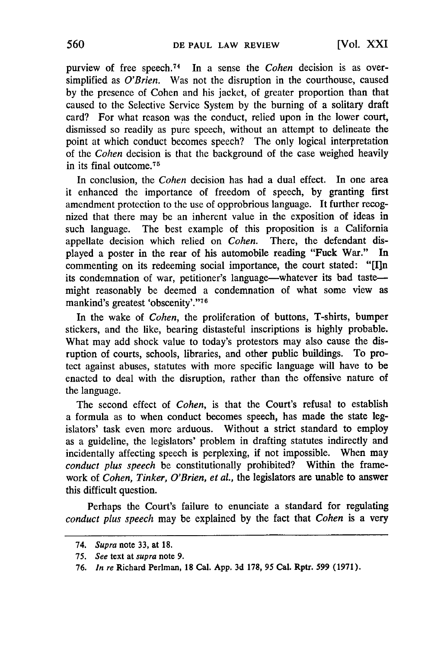purview of free speech.74 In a sense the *Cohen* decision is as oversimplified as *O'Brien.* Was not the disruption in the courthouse, caused by the presence of Cohen and his jacket, of greater proportion than that caused to the Selective Service System by the burning of a solitary draft card? For what reason was the conduct, relied upon in the lower court, dismissed so readily as pure speech, without an attempt to delineate the point at which conduct becomes speech? The only logical interpretation of the *Cohen* decision is that the background of the case weighed heavily in its final outcome. <sup>75</sup>

In conclusion, the *Cohen* decision has had a dual effect. In one area it enhanced the importance of freedom of speech, by granting first amendment protection to the use of opprobrious language. It further recognized that there may be an inherent value in the exposition of ideas in such language. The best example of this proposition is a California appellate decision which relied on *Cohen.* There, the defendant displayed a poster in the rear of his automobile reading "Fuck War." In commenting on its redeeming social importance, the court stated: **"[I]n** its condemnation of war, petitioner's language—whatever its bad taste might reasonably be deemed a condemnation of what some view as mankind's greatest 'obscenity'."<sup>76</sup>

In the wake of *Cohen,* the proliferation of buttons, T-shirts, bumper stickers, and the like, bearing distasteful inscriptions is highly probable. What may add shock value to today's protestors may also cause the disruption of courts, schools, libraries, and other public buildings. To protect against abuses, statutes with more specific language will have to be enacted to deal with the disruption, rather than the offensive nature of the language.

The second effect of *Cohen,* is that the Court's refusal to establish a formula as to when conduct becomes speech, has made the state legislators' task even more arduous. Without a strict standard to employ as a guideline, the legislators' problem in drafting statutes indirectly and incidentally affecting speech is perplexing, if not impossible. When may *conduct plus speech* be constitutionally prohibited? Within the framework of *Cohen, Tinker, O'Brien, et al.,* the legislators are unable to answer this difficult question.

Perhaps the Court's failure to enunciate a standard for regulating *conduct plus speech* may be explained by the fact that *Cohen* is a very

*<sup>74.</sup> Supra* note 33, at 18.

*<sup>75.</sup> See* text at *supra* note **9.**

**<sup>76.</sup>** *In re* Richard Perlman, **18** Cal. **App. 3d 178, 95** Cal. Rptr. 599 (1971).